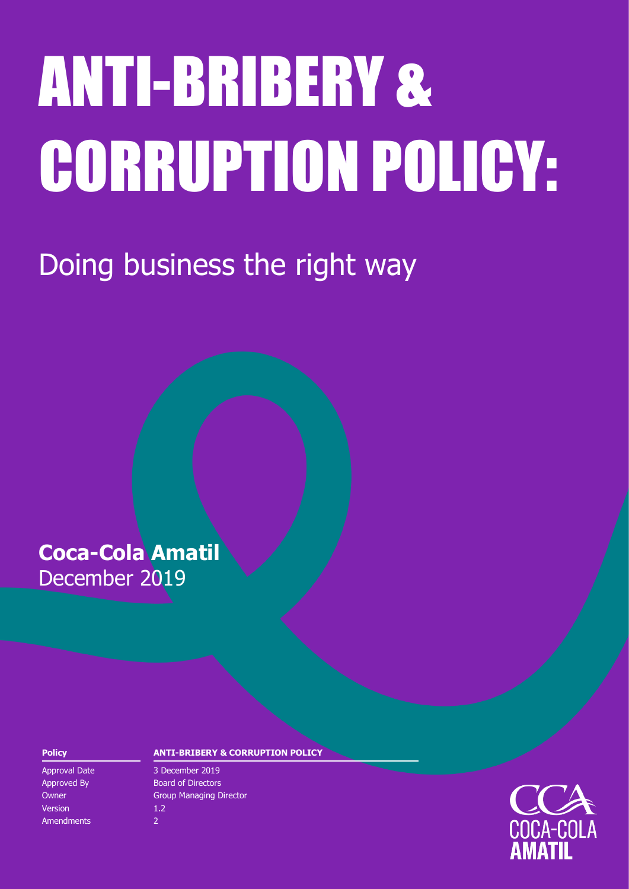# ANTI-BRIBERY & CORRUPTION POLICY:

Doing business the right way

## **Coca-Cola Amatil** December 2019

Version 1.2 Amendments 2

#### **Policy ANTI-BRIBERY & CORRUPTION POLICY**

Approval Date 3 December 2019 Approved By Board of Directors **Owner Group Managing Director** Group Managing Director

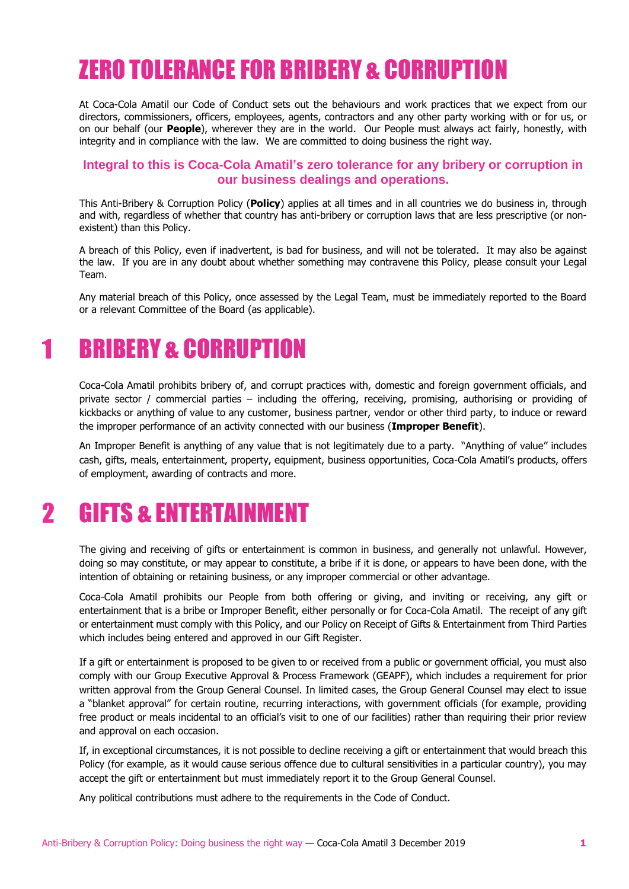## ZERO TOLERANCE FOR BRIBERY & CORRUPTION

At Coca-Cola Amatil our Code of Conduct sets out the behaviours and work practices that we expect from our directors, commissioners, officers, employees, agents, contractors and any other party working with or for us, or on our behalf (our **People**), wherever they are in the world. Our People must always act fairly, honestly, with integrity and in compliance with the law. We are committed to doing business the right way.

#### **Integral to this is Coca-Cola Amatil's zero tolerance for any bribery or corruption in our business dealings and operations.**

This Anti-Bribery & Corruption Policy (**Policy**) applies at all times and in all countries we do business in, through and with, regardless of whether that country has anti-bribery or corruption laws that are less prescriptive (or nonexistent) than this Policy.

A breach of this Policy, even if inadvertent, is bad for business, and will not be tolerated. It may also be against the law. If you are in any doubt about whether something may contravene this Policy, please consult your Legal Team.

Any material breach of this Policy, once assessed by the Legal Team, must be immediately reported to the Board or a relevant Committee of the Board (as applicable).

#### BRIBERY & CORRUPTION 1

Coca-Cola Amatil prohibits bribery of, and corrupt practices with, domestic and foreign government officials, and private sector / commercial parties – including the offering, receiving, promising, authorising or providing of kickbacks or anything of value to any customer, business partner, vendor or other third party, to induce or reward the improper performance of an activity connected with our business (**Improper Benefit**).

An Improper Benefit is anything of any value that is not legitimately due to a party. "Anything of value" includes cash, gifts, meals, entertainment, property, equipment, business opportunities, Coca-Cola Amatil's products, offers of employment, awarding of contracts and more.

#### $\overline{\mathbf{2}}$ GIFTS & ENTERTAINMENT

The giving and receiving of gifts or entertainment is common in business, and generally not unlawful. However, doing so may constitute, or may appear to constitute, a bribe if it is done, or appears to have been done, with the intention of obtaining or retaining business, or any improper commercial or other advantage.

Coca-Cola Amatil prohibits our People from both offering or giving, and inviting or receiving, any gift or entertainment that is a bribe or Improper Benefit, either personally or for Coca-Cola Amatil. The receipt of any gift or entertainment must comply with this Policy, and our Policy on Receipt of Gifts & Entertainment from Third Parties which includes being entered and approved in our Gift Register.

If a gift or entertainment is proposed to be given to or received from a public or government official, you must also comply with our Group Executive Approval & Process Framework (GEAPF), which includes a requirement for prior written approval from the Group General Counsel. In limited cases, the Group General Counsel may elect to issue a "blanket approval" for certain routine, recurring interactions, with government officials (for example, providing free product or meals incidental to an official's visit to one of our facilities) rather than requiring their prior review and approval on each occasion.

If, in exceptional circumstances, it is not possible to decline receiving a gift or entertainment that would breach this Policy (for example, as it would cause serious offence due to cultural sensitivities in a particular country), you may accept the gift or entertainment but must immediately report it to the Group General Counsel.

Any political contributions must adhere to the requirements in the [Code of Conduct.](https://ccamatil1.sharepoint.com/sites/Refresh/WorkingAtAmatil/Policies/Group/CodeofConductInteractive-December2017.pdf)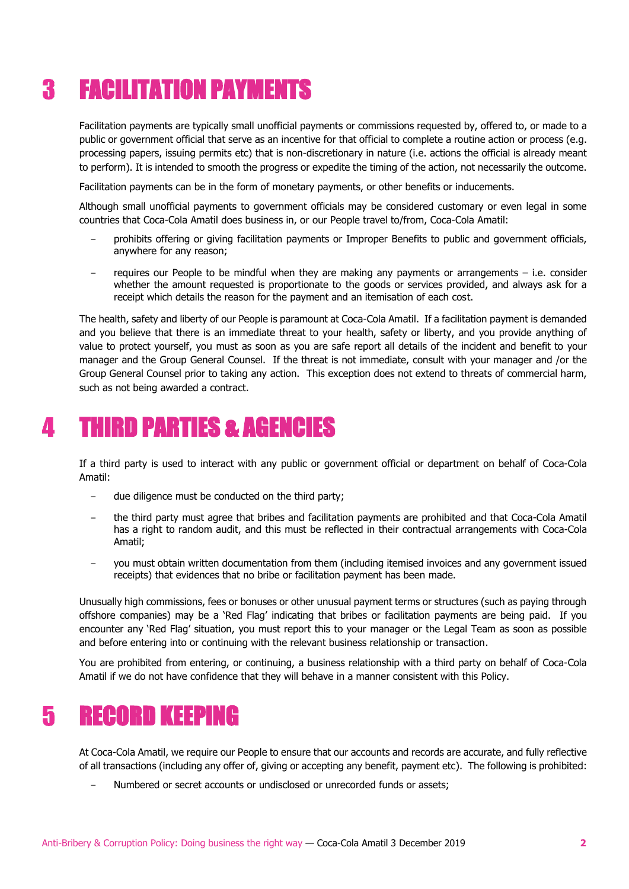### FACILITATION PAYMENTS 3

Facilitation payments are typically small unofficial payments or commissions requested by, offered to, or made to a public or government official that serve as an incentive for that official to complete a routine action or process (e.g. processing papers, issuing permits etc) that is non-discretionary in nature (i.e. actions the official is already meant to perform). It is intended to smooth the progress or expedite the timing of the action, not necessarily the outcome.

Facilitation payments can be in the form of monetary payments, or other benefits or inducements.

Although small unofficial payments to government officials may be considered customary or even legal in some countries that Coca-Cola Amatil does business in, or our People travel to/from, Coca-Cola Amatil:

- − prohibits offering or giving facilitation payments or Improper Benefits to public and government officials, anywhere for any reason;
- requires our People to be mindful when they are making any payments or arrangements i.e. consider whether the amount requested is proportionate to the goods or services provided, and always ask for a receipt which details the reason for the payment and an itemisation of each cost.

The health, safety and liberty of our People is paramount at Coca-Cola Amatil. If a facilitation payment is demanded and you believe that there is an immediate threat to your health, safety or liberty, and you provide anything of value to protect yourself, you must as soon as you are safe report all details of the incident and benefit to your manager and the Group General Counsel. If the threat is not immediate, consult with your manager and /or the Group General Counsel prior to taking any action. This exception does not extend to threats of commercial harm, such as not being awarded a contract.

#### THIRD PARTIES & AGENCIES  $\boldsymbol{\Lambda}$

If a third party is used to interact with any public or government official or department on behalf of Coca-Cola Amatil:

- − due diligence must be conducted on the third party;
- − the third party must agree that bribes and facilitation payments are prohibited and that Coca-Cola Amatil has a right to random audit, and this must be reflected in their contractual arrangements with Coca-Cola Amatil;
- − you must obtain written documentation from them (including itemised invoices and any government issued receipts) that evidences that no bribe or facilitation payment has been made.

Unusually high commissions, fees or bonuses or other unusual payment terms or structures (such as paying through offshore companies) may be a 'Red Flag' indicating that bribes or facilitation payments are being paid. If you encounter any 'Red Flag' situation, you must report this to your manager or the Legal Team as soon as possible and before entering into or continuing with the relevant business relationship or transaction.

You are prohibited from entering, or continuing, a business relationship with a third party on behalf of Coca-Cola Amatil if we do not have confidence that they will behave in a manner consistent with this Policy.

#### RECORD KEEPING 5

At Coca-Cola Amatil, we require our People to ensure that our accounts and records are accurate, and fully reflective of all transactions (including any offer of, giving or accepting any benefit, payment etc). The following is prohibited:

Numbered or secret accounts or undisclosed or unrecorded funds or assets;